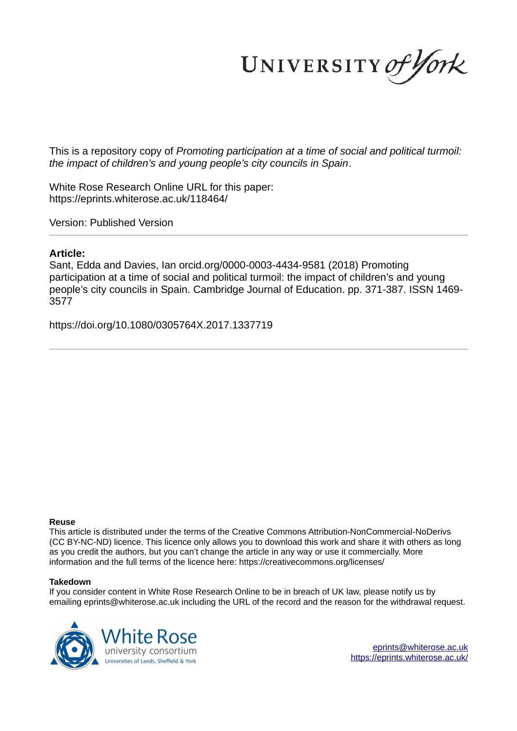UNIVERSITY of York

This is a repository copy of *Promoting participation at a time of social and political turmoil: the impact of children's and young people's city councils in Spain*.

White Rose Research Online URL for this paper: https://eprints.whiterose.ac.uk/118464/

Version: Published Version

### **Article:**

Sant, Edda and Davies, Ian orcid.org/0000-0003-4434-9581 (2018) Promoting participation at a time of social and political turmoil: the impact of children's and young people's city councils in Spain. Cambridge Journal of Education. pp. 371-387. ISSN 1469- 3577

https://doi.org/10.1080/0305764X.2017.1337719

#### **Reuse**

This article is distributed under the terms of the Creative Commons Attribution-NonCommercial-NoDerivs (CC BY-NC-ND) licence. This licence only allows you to download this work and share it with others as long as you credit the authors, but you can't change the article in any way or use it commercially. More information and the full terms of the licence here: https://creativecommons.org/licenses/

#### **Takedown**

If you consider content in White Rose Research Online to be in breach of UK law, please notify us by emailing eprints@whiterose.ac.uk including the URL of the record and the reason for the withdrawal request.



eprints@whiterose.ac.uk https://eprints.whiterose.ac.uk/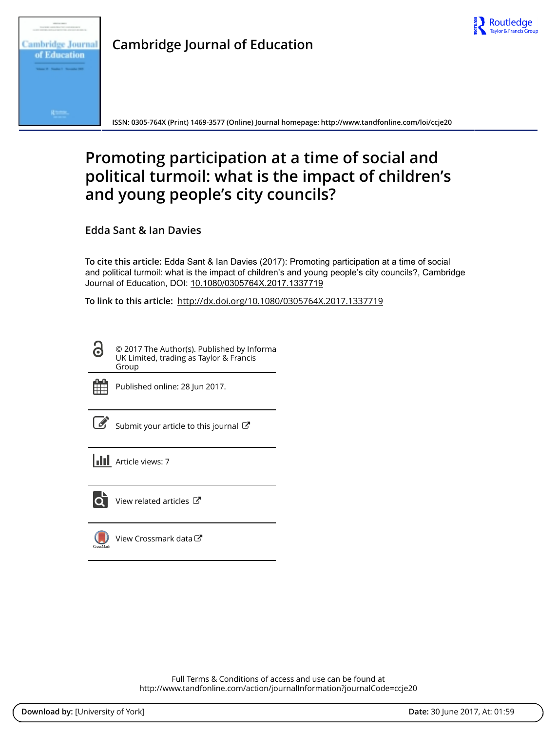



**Cambridge Journal of Education**

**ISSN: 0305-764X (Print) 1469-3577 (Online) Journal homepage: http://www.tandfonline.com/loi/ccje20**

# **Promoting participation at a time of social and political turmoil: what is the impact of children's and young people's city councils?**

**Edda Sant & Ian Davies**

**To cite this article:** Edda Sant & Ian Davies (2017): Promoting participation at a time of social and political turmoil: what is the impact of children's and young people's city councils?, Cambridge Journal of Education, DOI: 10.1080/0305764X.2017.1337719

**To link to this article:** http://dx.doi.org/10.1080/0305764X.2017.1337719

6 © 2017 The Author(s). Published by Informa UK Limited, trading as Taylor & Francis Group



Published online: 28 Jun 2017.



Submit your article to this journal  $\mathbb{Z}$ 

**III** Article views: 7



View related articles  $C$ 

View Crossmark data

Full Terms & Conditions of access and use can be found at http://www.tandfonline.com/action/journalInformation?journalCode=ccje20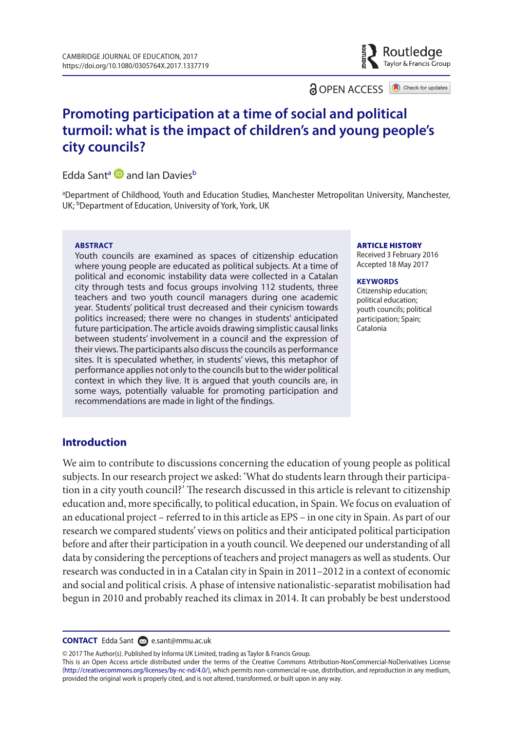**a** OPEN ACCESS **a** Check for updates

Routledge Taylor & Francis Group

## **Promoting participation at a time of social and political turmoil: what is the impact of children's and young people's city councils?**

#### Edda Sant<sup>a</sup> **D** and Ian Davies<sup>b</sup>

aDepartment of Childhood, Youth and Education Studies, Manchester Metropolitan University, Manchester, UK; **bDepartment of Education**, University of York, York, UK

#### **ABSTRACT**

Youth councils are examined as spaces of citizenship education where young people are educated as political subjects. At a time of political and economic instability data were collected in a Catalan city through tests and focus groups involving 112 students, three teachers and two youth council managers during one academic year. Students' political trust decreased and their cynicism towards politics increased; there were no changes in students' anticipated future participation. The article avoids drawing simplistic causal links between students' involvement in a council and the expression of their views. The participants also discuss the councils as performance sites. It is speculated whether, in students' views, this metaphor of performance applies not only to the councils but to the wider political context in which they live. It is argued that youth councils are, in some ways, potentially valuable for promoting participation and recommendations are made in light of the findings.

#### ARTICLE HISTORY

Received 3 February 2016 accepted 18 may 2017

#### **KEYWORDS**

Citizenship education; political education; youth councils; political participation; Spain; Catalonia

#### **Introduction**

We aim to contribute to discussions concerning the education of young people as political subjects. In our research project we asked: 'What do students learn through their participation in a city youth council?' The research discussed in this article is relevant to citizenship education and, more specifically, to political education, in Spain. We focus on evaluation of an educational project – referred to in this article as EPS – in one city in Spain. As part of our research we compared students' views on politics and their anticipated political participation before and after their participation in a youth council. We deepened our understanding of all data by considering the perceptions of teachers and project managers as well as students. Our research was conducted in in a Catalan city in Spain in 2011–2012 in a context of economic and social and political crisis. A phase of intensive nationalistic-separatist mobilisation had begun in 2010 and probably reached its climax in 2014. It can probably be best understood

#### **CONTACT** Edda Sant **e.**sant@mmu.ac.uk

© 2017 The Author(s). Published by Informa UK Limited, trading as Taylor & Francis Group.

This is an Open Access article distributed under the terms of the Creative Commons Attribution-NonCommercial-NoDerivatives License (http://creativecommons.org/licenses/by-nc-nd/4.0/), which permits non-commercial re-use, distribution, and reproduction in any medium, provided the original work is properly cited, and is not altered, transformed, or built upon in any way.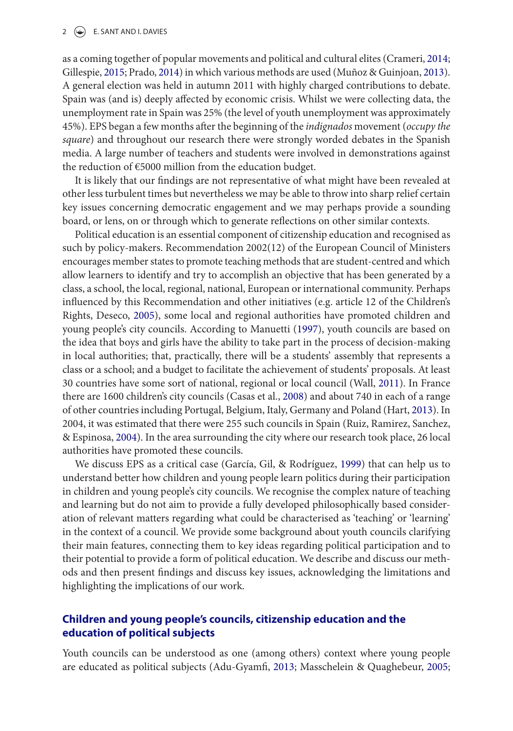#### 2  $\left(\frac{1}{2}\right)$  E. SANT AND I. DAVIES

as a coming together of popular movements and political and cultural elites (Crameri, 2014; Gillespie, 2015; Prado, 2014) in which various methods are used (Muñoz & Guinjoan, 2013). A general election was held in autumn 2011 with highly charged contributions to debate. Spain was (and is) deeply affected by economic crisis. Whilst we were collecting data, the unemployment rate in Spain was 25% (the level of youth unemployment was approximately 45%). EPS began a few months after the beginning of the indignados movement (occupy the square) and throughout our research there were strongly worded debates in the Spanish media. A large number of teachers and students were involved in demonstrations against the reduction of €5000 million from the education budget.

It is likely that our findings are not representative of what might have been revealed at other less turbulent times but nevertheless we may be able to throw into sharp relief certain key issues concerning democratic engagement and we may perhaps provide a sounding board, or lens, on or through which to generate reflections on other similar contexts.

Political education is an essential component of citizenship education and recognised as such by policy-makers. Recommendation 2002(12) of the European Council of Ministers encourages member states to promote teaching methods that are student-centred and which allow learners to identify and try to accomplish an objective that has been generated by a class, a school, the local, regional, national, European or international community. Perhaps influenced by this Recommendation and other initiatives (e.g. article 12 of the Children's Rights, Deseco, 2005), some local and regional authorities have promoted children and young people's city councils. According to Manuetti (1997), youth councils are based on the idea that boys and girls have the ability to take part in the process of decision-making in local authorities; that, practically, there will be a students' assembly that represents a class or a school; and a budget to facilitate the achievement of students' proposals. At least 30 countries have some sort of national, regional or local council (Wall, 2011). In France there are 1600 children's city councils (Casas et al., 2008) and about 740 in each of a range of other countries including Portugal, Belgium, Italy, Germany and Poland (Hart, 2013). In 2004, it was estimated that there were 255 such councils in Spain (Ruiz, Ramirez, Sanchez, & Espinosa, 2004). In the area surrounding the city where our research took place, 26 local authorities have promoted these councils.

We discuss EPS as a critical case (García, Gil, & Rodríguez, 1999) that can help us to understand better how children and young people learn politics during their participation in children and young people's city councils. We recognise the complex nature of teaching and learning but do not aim to provide a fully developed philosophically based consideration of relevant matters regarding what could be characterised as 'teaching' or 'learning' in the context of a council. We provide some background about youth councils clarifying their main features, connecting them to key ideas regarding political participation and to their potential to provide a form of political education. We describe and discuss our methods and then present findings and discuss key issues, acknowledging the limitations and highlighting the implications of our work.

#### **Children and young people's councils, citizenship education and the education of political subjects**

Youth councils can be understood as one (among others) context where young people are educated as political subjects (Adu-Gyamfi, 2013; Masschelein & Quaghebeur, 2005;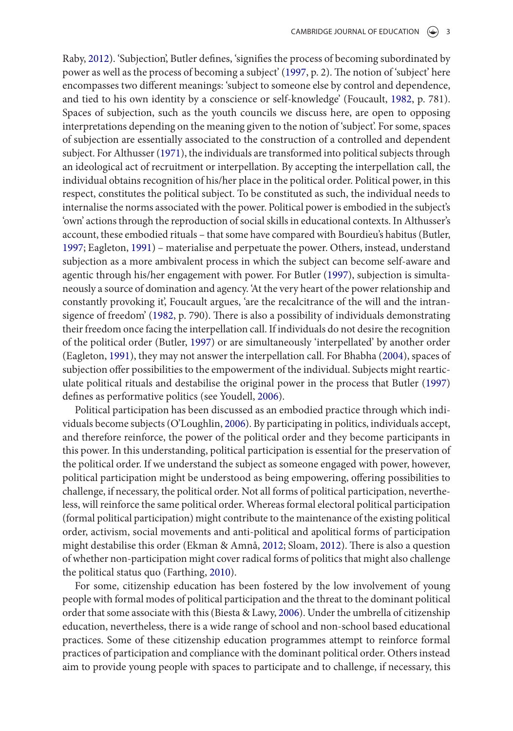Raby, 2012). 'Subjection', Butler defines, 'signifies the process of becoming subordinated by power as well as the process of becoming a subject' (1997, p. 2). The notion of 'subject' here encompasses two different meanings: 'subject to someone else by control and dependence, and tied to his own identity by a conscience or self-knowledge' (Foucault, 1982, p. 781). Spaces of subjection, such as the youth councils we discuss here, are open to opposing interpretations depending on the meaning given to the notion of 'subject'. For some, spaces of subjection are essentially associated to the construction of a controlled and dependent subject. For Althusser (1971), the individuals are transformed into political subjects through an ideological act of recruitment or interpellation. By accepting the interpellation call, the individual obtains recognition of his/her place in the political order. Political power, in this respect, constitutes the political subject. To be constituted as such, the individual needs to internalise the norms associated with the power. Political power is embodied in the subject's 'own' actions through the reproduction of social skills in educational contexts. In Althusser's account, these embodied rituals – that some have compared with Bourdieu's habitus (Butler, 1997; Eagleton, 1991) – materialise and perpetuate the power. Others, instead, understand subjection as a more ambivalent process in which the subject can become self-aware and agentic through his/her engagement with power. For Butler (1997), subjection is simultaneously a source of domination and agency. 'At the very heart of the power relationship and constantly provoking it', Foucault argues, 'are the recalcitrance of the will and the intransigence of freedom' (1982, p. 790). There is also a possibility of individuals demonstrating their freedom once facing the interpellation call. If individuals do not desire the recognition of the political order (Butler, 1997) or are simultaneously 'interpellated' by another order (Eagleton, 1991), they may not answer the interpellation call. For Bhabha (2004), spaces of subjection offer possibilities to the empowerment of the individual. Subjects might rearticulate political rituals and destabilise the original power in the process that Butler (1997) defines as performative politics (see Youdell, 2006).

Political participation has been discussed as an embodied practice through which individuals become subjects (O'Loughlin, 2006). By participating in politics, individuals accept, and therefore reinforce, the power of the political order and they become participants in this power. In this understanding, political participation is essential for the preservation of the political order. If we understand the subject as someone engaged with power, however, political participation might be understood as being empowering, offering possibilities to challenge, if necessary, the political order. Not all forms of political participation, nevertheless, will reinforce the same political order. Whereas formal electoral political participation (formal political participation) might contribute to the maintenance of the existing political order, activism, social movements and anti-political and apolitical forms of participation might destabilise this order (Ekman & Amnå, 2012; Sloam, 2012). There is also a question of whether non-participation might cover radical forms of politics that might also challenge the political status quo (Farthing, 2010).

For some, citizenship education has been fostered by the low involvement of young people with formal modes of political participation and the threat to the dominant political order that some associate with this (Biesta & Lawy, 2006). Under the umbrella of citizenship education, nevertheless, there is a wide range of school and non-school based educational practices. Some of these citizenship education programmes attempt to reinforce formal practices of participation and compliance with the dominant political order. Others instead aim to provide young people with spaces to participate and to challenge, if necessary, this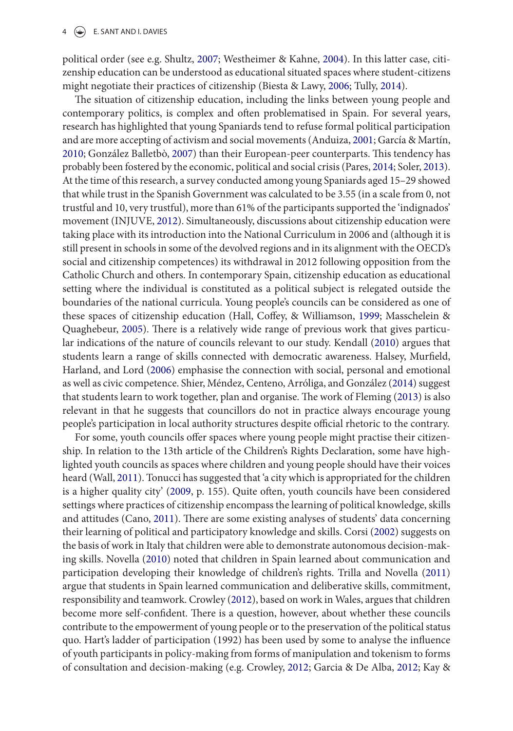#### $4 \quad (*)$  E. SANT AND I. DAVIES

political order (see e.g. Shultz, 2007; Westheimer & Kahne, 2004). In this latter case, citizenship education can be understood as educational situated spaces where student-citizens might negotiate their practices of citizenship (Biesta & Lawy, 2006; Tully, 2014).

The situation of citizenship education, including the links between young people and contemporary politics, is complex and often problematised in Spain. For several years, research has highlighted that young Spaniards tend to refuse formal political participation and are more accepting of activism and social movements (Anduiza, 2001; García & Martín, 2010; González Balletbò, 2007) than their European-peer counterparts. This tendency has probably been fostered by the economic, political and social crisis (Pares, 2014; Soler, 2013). At the time of this research, a survey conducted among young Spaniards aged 15–29 showed that while trust in the Spanish Government was calculated to be 3.55 (in a scale from 0, not trustful and 10, very trustful), more than 61% of the participants supported the 'indignados' movement (INJUVE, 2012). Simultaneously, discussions about citizenship education were taking place with its introduction into the National Curriculum in 2006 and (although it is still present in schools in some of the devolved regions and in its alignment with the OECD's social and citizenship competences) its withdrawal in 2012 following opposition from the Catholic Church and others. In contemporary Spain, citizenship education as educational setting where the individual is constituted as a political subject is relegated outside the boundaries of the national curricula. Young people's councils can be considered as one of these spaces of citizenship education (Hall, Coffey, & Williamson, 1999; Masschelein & Quaghebeur, 2005). There is a relatively wide range of previous work that gives particular indications of the nature of councils relevant to our study. Kendall (2010) argues that students learn a range of skills connected with democratic awareness. Halsey, Murfield, Harland, and Lord (2006) emphasise the connection with social, personal and emotional as well as civic competence. Shier, Méndez, Centeno, Arróliga, and González (2014) suggest that students learn to work together, plan and organise. The work of Fleming (2013) is also relevant in that he suggests that councillors do not in practice always encourage young people's participation in local authority structures despite official rhetoric to the contrary.

For some, youth councils offer spaces where young people might practise their citizenship. In relation to the 13th article of the Children's Rights Declaration, some have highlighted youth councils as spaces where children and young people should have their voices heard (Wall, 2011). Tonucci has suggested that 'a city which is appropriated for the children is a higher quality city' (2009, p. 155). Quite often, youth councils have been considered settings where practices of citizenship encompass the learning of political knowledge, skills and attitudes (Cano, 2011). There are some existing analyses of students' data concerning their learning of political and participatory knowledge and skills. Corsi (2002) suggests on the basis of work in Italy that children were able to demonstrate autonomous decision-making skills. Novella (2010) noted that children in Spain learned about communication and participation developing their knowledge of children's rights. Trilla and Novella (2011) argue that students in Spain learned communication and deliberative skills, commitment, responsibility and teamwork. Crowley (2012), based on work in Wales, argues that children become more self-confident. There is a question, however, about whether these councils contribute to the empowerment of young people or to the preservation of the political status quo. Hart's ladder of participation (1992) has been used by some to analyse the influence of youth participants in policy-making from forms of manipulation and tokenism to forms of consultation and decision-making (e.g. Crowley, 2012; Garcia & De Alba, 2012; Kay &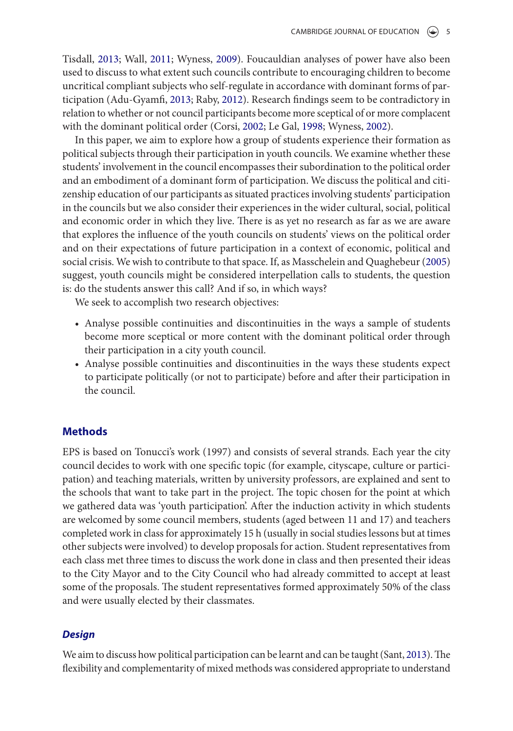Tisdall, 2013; Wall, 2011; Wyness, 2009). Foucauldian analyses of power have also been used to discuss to what extent such councils contribute to encouraging children to become uncritical compliant subjects who self-regulate in accordance with dominant forms of participation (Adu-Gyamfi, 2013; Raby, 2012). Research findings seem to be contradictory in relation to whether or not council participants become more sceptical of or more complacent with the dominant political order (Corsi, 2002; Le Gal, 1998; Wyness, 2002).

In this paper, we aim to explore how a group of students experience their formation as political subjects through their participation in youth councils. We examine whether these students' involvement in the council encompasses their subordination to the political order and an embodiment of a dominant form of participation. We discuss the political and citizenship education of our participants as situated practices involving students' participation in the councils but we also consider their experiences in the wider cultural, social, political and economic order in which they live. There is as yet no research as far as we are aware that explores the influence of the youth councils on students' views on the political order and on their expectations of future participation in a context of economic, political and social crisis. We wish to contribute to that space. If, as Masschelein and Quaghebeur (2005) suggest, youth councils might be considered interpellation calls to students, the question is: do the students answer this call? And if so, in which ways?

We seek to accomplish two research objectives:

- Analyse possible continuities and discontinuities in the ways a sample of students become more sceptical or more content with the dominant political order through their participation in a city youth council.
- Analyse possible continuities and discontinuities in the ways these students expect to participate politically (or not to participate) before and after their participation in the council.

#### **Methods**

EPS is based on Tonucci's work (1997) and consists of several strands. Each year the city council decides to work with one specific topic (for example, cityscape, culture or participation) and teaching materials, written by university professors, are explained and sent to the schools that want to take part in the project. The topic chosen for the point at which we gathered data was 'youth participation'. After the induction activity in which students are welcomed by some council members, students (aged between 11 and 17) and teachers completed work in class for approximately 15 h (usually in social studies lessons but at times other subjects were involved) to develop proposals for action. Student representatives from each class met three times to discuss the work done in class and then presented their ideas to the City Mayor and to the City Council who had already committed to accept at least some of the proposals. The student representatives formed approximately 50% of the class and were usually elected by their classmates.

#### **Design**

We aim to discuss how political participation can be learnt and can be taught (Sant, 2013). The flexibility and complementarity of mixed methods was considered appropriate to understand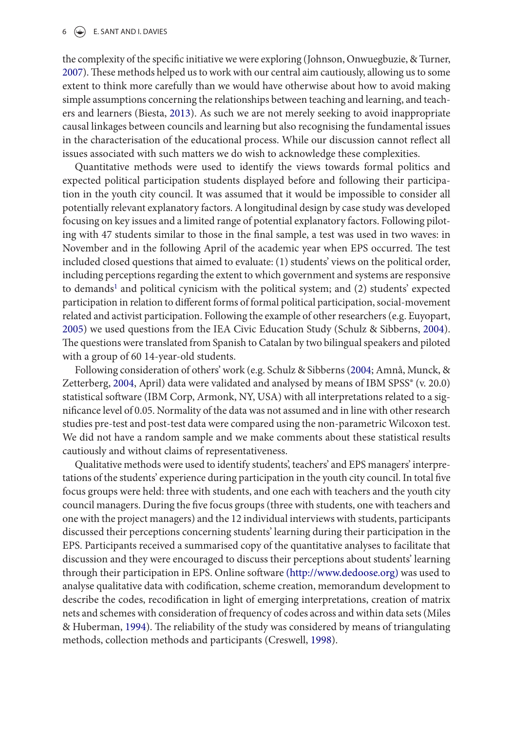#### $6 \quad (*)$  E. SANT AND I. DAVIES

the complexity of the specific initiative we were exploring (Johnson, Onwuegbuzie, & Turner, 2007). These methods helped us to work with our central aim cautiously, allowing us to some extent to think more carefully than we would have otherwise about how to avoid making simple assumptions concerning the relationships between teaching and learning, and teachers and learners (Biesta, 2013). As such we are not merely seeking to avoid inappropriate causal linkages between councils and learning but also recognising the fundamental issues in the characterisation of the educational process. While our discussion cannot reflect all issues associated with such matters we do wish to acknowledge these complexities.

Quantitative methods were used to identify the views towards formal politics and expected political participation students displayed before and following their participation in the youth city council. It was assumed that it would be impossible to consider all potentially relevant explanatory factors. A longitudinal design by case study was developed focusing on key issues and a limited range of potential explanatory factors. Following piloting with 47 students similar to those in the final sample, a test was used in two waves: in November and in the following April of the academic year when EPS occurred. The test included closed questions that aimed to evaluate: (1) students' views on the political order, including perceptions regarding the extent to which government and systems are responsive to demands<sup>1</sup> and political cynicism with the political system; and (2) students' expected participation in relation to different forms of formal political participation, social-movement related and activist participation. Following the example of other researchers (e.g. Euyopart, 2005) we used questions from the IEA Civic Education Study (Schulz & Sibberns, 2004). The questions were translated from Spanish to Catalan by two bilingual speakers and piloted with a group of 60 14-year-old students.

Following consideration of others' work (e.g. Schulz & Sibberns (2004; Amnå, Munck, & Zetterberg, 2004, April) data were validated and analysed by means of IBM SPSS® (v. 20.0) statistical software (IBM Corp, Armonk, NY, USA) with all interpretations related to a significance level of 0.05. Normality of the data was not assumed and in line with other research studies pre-test and post-test data were compared using the non-parametric Wilcoxon test. We did not have a random sample and we make comments about these statistical results cautiously and without claims of representativeness.

Qualitative methods were used to identify students', teachers' and EPS managers' interpretations of the students' experience during participation in the youth city council. In total five focus groups were held: three with students, and one each with teachers and the youth city council managers. During the five focus groups (three with students, one with teachers and one with the project managers) and the 12 individual interviews with students, participants discussed their perceptions concerning students' learning during their participation in the EPS. Participants received a summarised copy of the quantitative analyses to facilitate that discussion and they were encouraged to discuss their perceptions about students' learning through their participation in EPS. Online software (http://www.dedoose.org) was used to analyse qualitative data with codification, scheme creation, memorandum development to describe the codes, recodification in light of emerging interpretations, creation of matrix nets and schemes with consideration of frequency of codes across and within data sets (Miles & Huberman, 1994). The reliability of the study was considered by means of triangulating methods, collection methods and participants (Creswell, 1998).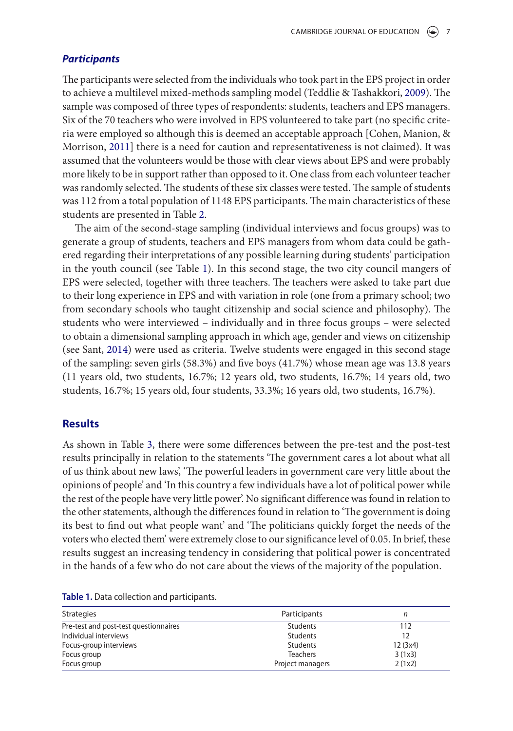#### **Participants**

The participants were selected from the individuals who took part in the EPS project in order to achieve a multilevel mixed-methods sampling model (Teddlie & Tashakkori, 2009). The sample was composed of three types of respondents: students, teachers and EPS managers. Six of the 70 teachers who were involved in EPS volunteered to take part (no specific criteria were employed so although this is deemed an acceptable approach [Cohen, Manion, & Morrison, 2011] there is a need for caution and representativeness is not claimed). It was assumed that the volunteers would be those with clear views about EPS and were probably more likely to be in support rather than opposed to it. One class from each volunteer teacher was randomly selected. The students of these six classes were tested. The sample of students was 112 from a total population of 1148 EPS participants. The main characteristics of these students are presented in Table 2.

The aim of the second-stage sampling (individual interviews and focus groups) was to generate a group of students, teachers and EPS managers from whom data could be gathered regarding their interpretations of any possible learning during students' participation in the youth council (see Table 1). In this second stage, the two city council mangers of EPS were selected, together with three teachers. The teachers were asked to take part due to their long experience in EPS and with variation in role (one from a primary school; two from secondary schools who taught citizenship and social science and philosophy). The students who were interviewed – individually and in three focus groups – were selected to obtain a dimensional sampling approach in which age, gender and views on citizenship (see Sant, 2014) were used as criteria. Twelve students were engaged in this second stage of the sampling: seven girls (58.3%) and five boys (41.7%) whose mean age was 13.8 years (11 years old, two students, 16.7%; 12 years old, two students, 16.7%; 14 years old, two students, 16.7%; 15 years old, four students, 33.3%; 16 years old, two students, 16.7%).

#### **Results**

As shown in Table 3, there were some differences between the pre-test and the post-test results principally in relation to the statements 'The government cares a lot about what all of us think about new laws', 'The powerful leaders in government care very little about the opinions of people' and 'In this country a few individuals have a lot of political power while the rest of the people have very little power'. No significant difference was found in relation to the other statements, although the differences found in relation to 'The government is doing its best to find out what people want' and 'The politicians quickly forget the needs of the voters who elected them' were extremely close to our significance level of 0.05. In brief, these results suggest an increasing tendency in considering that political power is concentrated in the hands of a few who do not care about the views of the majority of the population.

| <b>Strategies</b>                     | Participants     | n       |  |
|---------------------------------------|------------------|---------|--|
| Pre-test and post-test questionnaires | Students         | 112     |  |
| Individual interviews                 | Students         | 12      |  |
| Focus-group interviews                | Students         | 12(3x4) |  |
| Focus group                           | <b>Teachers</b>  | 3(1x3)  |  |
| Focus group                           | Project managers | 2(1x2)  |  |

Table 1. Data collection and participants.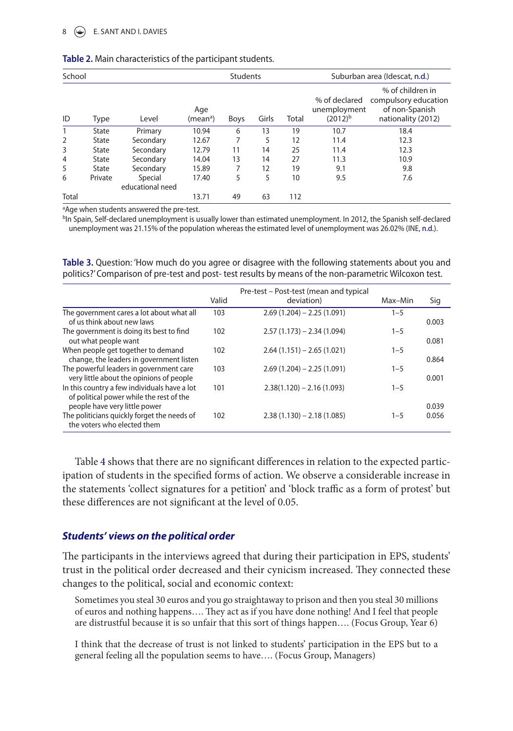#### $\circ$  E. SANT AND I. DAVIES

| School         |         |                             |                             | <b>Students</b> |       |       | Suburban area (Idescat, n.d.)                 |                                                                                  |  |
|----------------|---------|-----------------------------|-----------------------------|-----------------|-------|-------|-----------------------------------------------|----------------------------------------------------------------------------------|--|
| ID             | Type    | Level                       | Age<br>(mean <sup>a</sup> ) | Boys            | Girls | Total | % of declared<br>unemployment<br>$(2012)^{b}$ | % of children in<br>compulsory education<br>of non-Spanish<br>nationality (2012) |  |
| 1              | State   | Primary                     | 10.94                       | 6               | 13    | 19    | 10.7                                          | 18.4                                                                             |  |
| 2              | State   | Secondary                   | 12.67                       |                 | 5     | 12    | 11.4                                          | 12.3                                                                             |  |
| 3              | State   | Secondary                   | 12.79                       | 11              | 14    | 25    | 11.4                                          | 12.3                                                                             |  |
| $\overline{4}$ | State   | Secondary                   | 14.04                       | 13              | 14    | 27    | 11.3                                          | 10.9                                                                             |  |
| 5              | State   | Secondary                   | 15.89                       |                 | 12    | 19    | 9.1                                           | 9.8                                                                              |  |
| 6              | Private | Special<br>educational need | 17.40                       | 5               | 5     | 10    | 9.5                                           | 7.6                                                                              |  |
| <b>Total</b>   |         |                             | 13.71                       | 49              | 63    | 112   |                                               |                                                                                  |  |

#### Table 2. Main characteristics of the participant students.

<sup>a</sup>Age when students answered the pre-test.

<sup>b</sup>In Spain, Self-declared unemployment is usually lower than estimated unemployment. In 2012, the Spanish self-declared unemployment was 21.15% of the population whereas the estimated level of unemployment was 26.02% (INE, n.d.).

**Table 3.** Question: 'How much do you agree or disagree with the following statements about you and politics?' Comparison of pre-test and post- test results by means of the non-parametric Wilcoxon test.

|                                                                                                             | Valid | Pre-test – Post-test (mean and typical<br>deviation) | Max-Min | Sig            |
|-------------------------------------------------------------------------------------------------------------|-------|------------------------------------------------------|---------|----------------|
| The government cares a lot about what all<br>of us think about new laws                                     | 103   | $2.69(1.204) - 2.25(1.091)$                          | $1 - 5$ | 0.003          |
| The government is doing its best to find<br>out what people want                                            | 102   | $2.57(1.173) - 2.34(1.094)$                          | $1 - 5$ | 0.081          |
| When people get together to demand<br>change, the leaders in government listen                              | 102   | $2.64(1.151) - 2.65(1.021)$                          | $1 - 5$ | 0.864          |
| The powerful leaders in government care<br>very little about the opinions of people                         | 103   | $2.69(1.204) - 2.25(1.091)$                          | $1 - 5$ | 0.001          |
| In this country a few individuals have a lot<br>of political power while the rest of the                    | 101   | $2.38(1.120) - 2.16(1.093)$                          | $1 - 5$ |                |
| people have very little power<br>The politicians quickly forget the needs of<br>the voters who elected them | 102   | $2.38(1.130) - 2.18(1.085)$                          | $1 - 5$ | 0.039<br>0.056 |

Table 4 shows that there are no significant differences in relation to the expected participation of students in the specified forms of action. We observe a considerable increase in the statements 'collect signatures for a petition' and 'block traffic as a form of protest' but these differences are not significant at the level of 0.05.

#### **Students' views on the political order**

The participants in the interviews agreed that during their participation in EPS, students' trust in the political order decreased and their cynicism increased. They connected these changes to the political, social and economic context:

Sometimes you steal 30 euros and you go straightaway to prison and then you steal 30 millions of euros and nothing happens…. They act as if you have done nothing! And I feel that people are distrustful because it is so unfair that this sort of things happen…. (Focus Group, Year 6)

I think that the decrease of trust is not linked to students' participation in the EPS but to a general feeling all the population seems to have…. (Focus Group, Managers)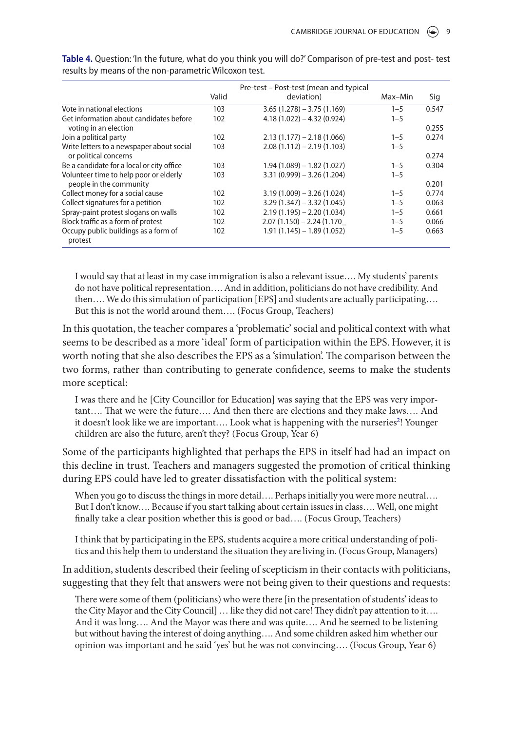|                                           |       | Pre-test – Post-test (mean and typical |         |       |
|-------------------------------------------|-------|----------------------------------------|---------|-------|
|                                           | Valid | deviation)                             | Max-Min | Sig   |
| Vote in national elections                | 103   | $3.65(1.278) - 3.75(1.169)$            | $1 - 5$ | 0.547 |
| Get information about candidates before   | 102   | $4.18(1.022) - 4.32(0.924)$            | $1 - 5$ |       |
| voting in an election                     |       |                                        |         | 0.255 |
| Join a political party                    | 102   | $2.13(1.177) - 2.18(1.066)$            | $1 - 5$ | 0.274 |
| Write letters to a newspaper about social | 103   | $2.08(1.112) - 2.19(1.103)$            | $1 - 5$ |       |
| or political concerns                     |       |                                        |         | 0.274 |
| Be a candidate for a local or city office | 103   | $1.94(1.089) - 1.82(1.027)$            | $1 - 5$ | 0.304 |
| Volunteer time to help poor or elderly    | 103   | $3.31(0.999) - 3.26(1.204)$            | $1 - 5$ |       |
| people in the community                   |       |                                        |         | 0.201 |
| Collect money for a social cause          | 102   | $3.19(1.009) - 3.26(1.024)$            | $1 - 5$ | 0.774 |
| Collect signatures for a petition         | 102   | $3.29(1.347) - 3.32(1.045)$            | $1 - 5$ | 0.063 |
| Spray-paint protest slogans on walls      | 102   | $2.19(1.195) - 2.20(1.034)$            | $1 - 5$ | 0.661 |
| Block traffic as a form of protest        | 102   | $2.07(1.150) - 2.24(1.170)$            | $1 - 5$ | 0.066 |
| Occupy public buildings as a form of      | 102   | $1.91(1.145) - 1.89(1.052)$            | $1 - 5$ | 0.663 |
| protest                                   |       |                                        |         |       |

Table 4. Question: 'In the future, what do you think you will do?' Comparison of pre-test and post- test results by means of the non-parametric Wilcoxon test.

I would say that at least in my case immigration is also a relevant issue…. My students' parents do not have political representation…. And in addition, politicians do not have credibility. And then…. We do this simulation of participation [EPS] and students are actually participating…. But this is not the world around them…. (Focus Group, Teachers)

In this quotation, the teacher compares a 'problematic' social and political context with what seems to be described as a more 'ideal' form of participation within the EPS. However, it is worth noting that she also describes the EPS as a 'simulation'. The comparison between the two forms, rather than contributing to generate confidence, seems to make the students more sceptical:

I was there and he [City Councillor for Education] was saying that the EPS was very important…. That we were the future…. And then there are elections and they make laws…. And it doesn't look like we are important.... Look what is happening with the nurseries<sup>2</sup>! Younger children are also the future, aren't they? (Focus Group, Year 6)

Some of the participants highlighted that perhaps the EPS in itself had had an impact on this decline in trust. Teachers and managers suggested the promotion of critical thinking during EPS could have led to greater dissatisfaction with the political system:

When you go to discuss the things in more detail…. Perhaps initially you were more neutral…. But I don't know…. Because if you start talking about certain issues in class…. Well, one might finally take a clear position whether this is good or bad.... (Focus Group, Teachers)

I think that by participating in the EPS, students acquire a more critical understanding of politics and this help them to understand the situation they are living in. (Focus Group, Managers)

In addition, students described their feeling of scepticism in their contacts with politicians, suggesting that they felt that answers were not being given to their questions and requests:

There were some of them (politicians) who were there [in the presentation of students' ideas to the City Mayor and the City Council] … like they did not care! They didn't pay attention to it…. And it was long…. And the Mayor was there and was quite…. And he seemed to be listening but without having the interest of doing anything…. And some children asked him whether our opinion was important and he said 'yes' but he was not convincing…. (Focus Group, Year 6)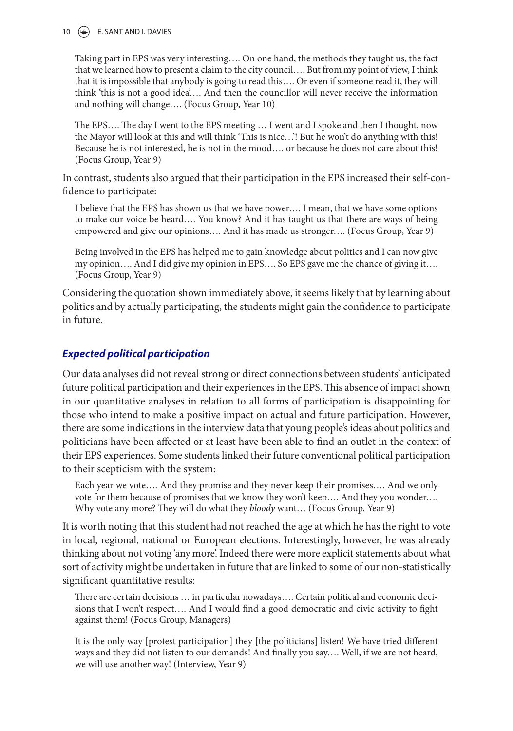#### 10 **(C)** E. SANT AND I. DAVIES

Taking part in EPS was very interesting…. On one hand, the methods they taught us, the fact that we learned how to present a claim to the city council…. But from my point of view, I think that it is impossible that anybody is going to read this…. Or even if someone read it, they will think 'this is not a good idea'…. And then the councillor will never receive the information and nothing will change…. (Focus Group, Year 10)

The EPS…. The day I went to the EPS meeting … I went and I spoke and then I thought, now the Mayor will look at this and will think 'This is nice…'! But he won't do anything with this! Because he is not interested, he is not in the mood…. or because he does not care about this! (Focus Group, Year 9)

In contrast, students also argued that their participation in the EPS increased their self-confidence to participate:

I believe that the EPS has shown us that we have power…. I mean, that we have some options to make our voice be heard…. You know? And it has taught us that there are ways of being empowered and give our opinions.... And it has made us stronger.... (Focus Group, Year 9)

Being involved in the EPS has helped me to gain knowledge about politics and I can now give my opinion…. And I did give my opinion in EPS…. So EPS gave me the chance of giving it…. (Focus Group, Year 9)

Considering the quotation shown immediately above, it seems likely that by learning about politics and by actually participating, the students might gain the confidence to participate in future.

#### **Expected political participation**

Our data analyses did not reveal strong or direct connections between students' anticipated future political participation and their experiences in the EPS. This absence of impact shown in our quantitative analyses in relation to all forms of participation is disappointing for those who intend to make a positive impact on actual and future participation. However, there are some indications in the interview data that young people's ideas about politics and politicians have been affected or at least have been able to find an outlet in the context of their EPS experiences. Some students linked their future conventional political participation to their scepticism with the system:

Each year we vote…. And they promise and they never keep their promises…. And we only vote for them because of promises that we know they won't keep…. And they you wonder…. Why vote any more? They will do what they bloody want... (Focus Group, Year 9)

It is worth noting that this student had not reached the age at which he has the right to vote in local, regional, national or European elections. Interestingly, however, he was already thinking about not voting 'any more'. Indeed there were more explicit statements about what sort of activity might be undertaken in future that are linked to some of our non-statistically significant quantitative results:

There are certain decisions … in particular nowadays…. Certain political and economic decisions that I won't respect…. And I would find a good democratic and civic activity to fight against them! (Focus Group, Managers)

It is the only way [protest participation] they [the politicians] listen! We have tried different ways and they did not listen to our demands! And finally you say…. Well, if we are not heard, we will use another way! (Interview, Year 9)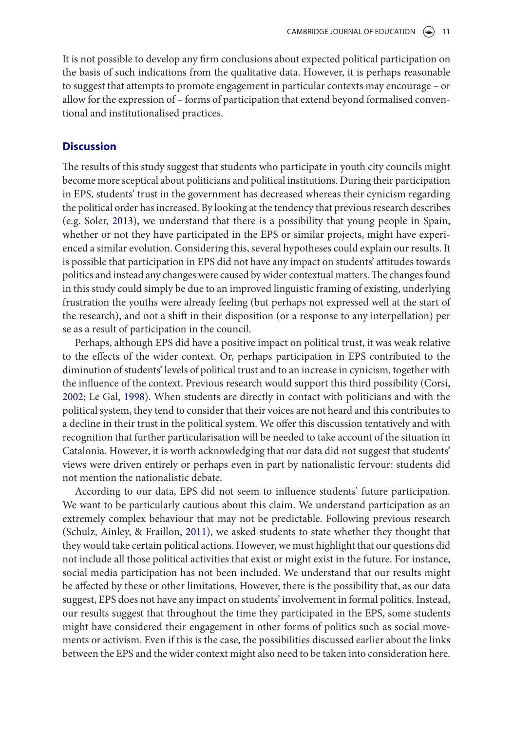It is not possible to develop any firm conclusions about expected political participation on the basis of such indications from the qualitative data. However, it is perhaps reasonable to suggest that attempts to promote engagement in particular contexts may encourage – or allow for the expression of – forms of participation that extend beyond formalised conventional and institutionalised practices.

#### **Discussion**

The results of this study suggest that students who participate in youth city councils might become more sceptical about politicians and political institutions. During their participation in EPS, students' trust in the government has decreased whereas their cynicism regarding the political order has increased. By looking at the tendency that previous research describes (e.g. Soler, 2013), we understand that there is a possibility that young people in Spain, whether or not they have participated in the EPS or similar projects, might have experienced a similar evolution. Considering this, several hypotheses could explain our results. It is possible that participation in EPS did not have any impact on students' attitudes towards politics and instead any changes were caused by wider contextual matters. The changes found in this study could simply be due to an improved linguistic framing of existing, underlying frustration the youths were already feeling (but perhaps not expressed well at the start of the research), and not a shift in their disposition (or a response to any interpellation) per se as a result of participation in the council.

Perhaps, although EPS did have a positive impact on political trust, it was weak relative to the effects of the wider context. Or, perhaps participation in EPS contributed to the diminution of students' levels of political trust and to an increase in cynicism, together with the influence of the context. Previous research would support this third possibility (Corsi, 2002; Le Gal, 1998). When students are directly in contact with politicians and with the political system, they tend to consider that their voices are not heard and this contributes to a decline in their trust in the political system. We offer this discussion tentatively and with recognition that further particularisation will be needed to take account of the situation in Catalonia. However, it is worth acknowledging that our data did not suggest that students' views were driven entirely or perhaps even in part by nationalistic fervour: students did not mention the nationalistic debate.

According to our data, EPS did not seem to influence students' future participation. We want to be particularly cautious about this claim. We understand participation as an extremely complex behaviour that may not be predictable. Following previous research (Schulz, Ainley, & Fraillon, 2011), we asked students to state whether they thought that they would take certain political actions. However, we must highlight that our questions did not include all those political activities that exist or might exist in the future. For instance, social media participation has not been included. We understand that our results might be affected by these or other limitations. However, there is the possibility that, as our data suggest, EPS does not have any impact on students' involvement in formal politics. Instead, our results suggest that throughout the time they participated in the EPS, some students might have considered their engagement in other forms of politics such as social movements or activism. Even if this is the case, the possibilities discussed earlier about the links between the EPS and the wider context might also need to be taken into consideration here.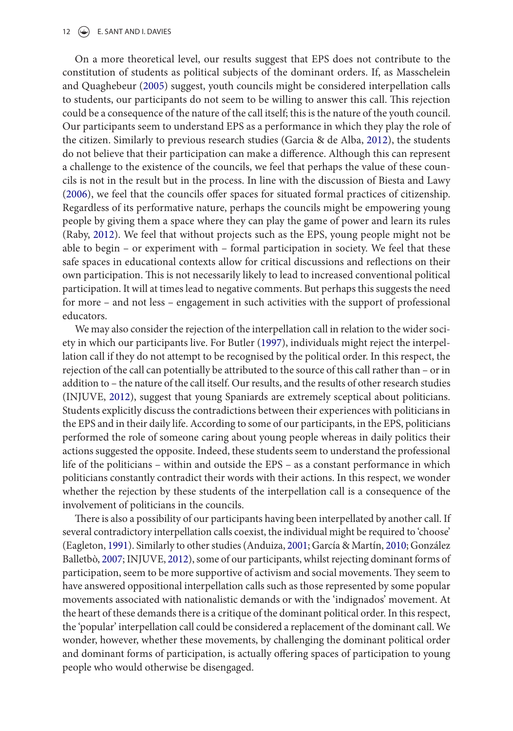#### 12  $\left(\rightarrow\right)$  E. SANT AND I. DAVIES

On a more theoretical level, our results suggest that EPS does not contribute to the constitution of students as political subjects of the dominant orders. If, as Masschelein and Quaghebeur (2005) suggest, youth councils might be considered interpellation calls to students, our participants do not seem to be willing to answer this call. This rejection could be a consequence of the nature of the call itself; this is the nature of the youth council. Our participants seem to understand EPS as a performance in which they play the role of the citizen. Similarly to previous research studies (Garcia & de Alba, 2012), the students do not believe that their participation can make a difference. Although this can represent a challenge to the existence of the councils, we feel that perhaps the value of these councils is not in the result but in the process. In line with the discussion of Biesta and Lawy (2006), we feel that the councils offer spaces for situated formal practices of citizenship. Regardless of its performative nature, perhaps the councils might be empowering young people by giving them a space where they can play the game of power and learn its rules (Raby, 2012). We feel that without projects such as the EPS, young people might not be able to begin – or experiment with – formal participation in society. We feel that these safe spaces in educational contexts allow for critical discussions and reflections on their own participation. This is not necessarily likely to lead to increased conventional political participation. It will at times lead to negative comments. But perhaps this suggests the need for more – and not less – engagement in such activities with the support of professional educators.

We may also consider the rejection of the interpellation call in relation to the wider society in which our participants live. For Butler (1997), individuals might reject the interpellation call if they do not attempt to be recognised by the political order. In this respect, the rejection of the call can potentially be attributed to the source of this call rather than – or in addition to – the nature of the call itself. Our results, and the results of other research studies (INJUVE, 2012), suggest that young Spaniards are extremely sceptical about politicians. Students explicitly discuss the contradictions between their experiences with politicians in the EPS and in their daily life. According to some of our participants, in the EPS, politicians performed the role of someone caring about young people whereas in daily politics their actions suggested the opposite. Indeed, these students seem to understand the professional life of the politicians – within and outside the EPS – as a constant performance in which politicians constantly contradict their words with their actions. In this respect, we wonder whether the rejection by these students of the interpellation call is a consequence of the involvement of politicians in the councils.

There is also a possibility of our participants having been interpellated by another call. If several contradictory interpellation calls coexist, the individual might be required to 'choose' (Eagleton, 1991). Similarly to other studies (Anduiza, 2001; García & Martín, 2010; González Balletbò, 2007; INJUVE, 2012), some of our participants, whilst rejecting dominant forms of participation, seem to be more supportive of activism and social movements. They seem to have answered oppositional interpellation calls such as those represented by some popular movements associated with nationalistic demands or with the 'indignados' movement. At the heart of these demands there is a critique of the dominant political order. In this respect, the 'popular' interpellation call could be considered a replacement of the dominant call. We wonder, however, whether these movements, by challenging the dominant political order and dominant forms of participation, is actually offering spaces of participation to young people who would otherwise be disengaged.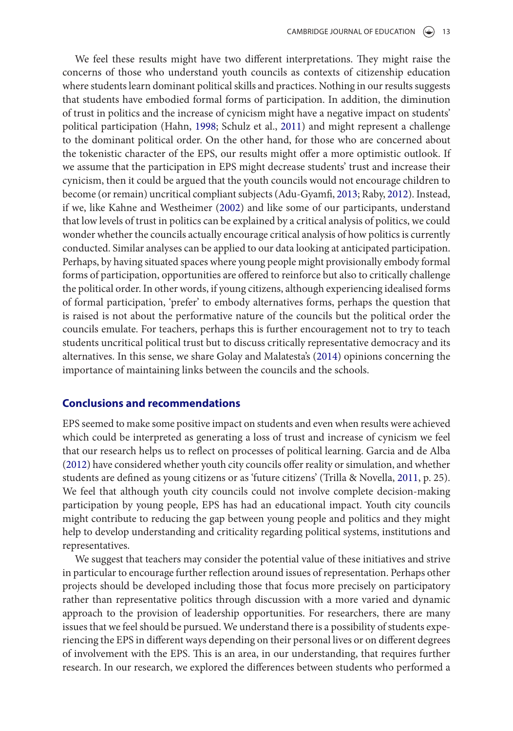We feel these results might have two different interpretations. They might raise the concerns of those who understand youth councils as contexts of citizenship education where students learn dominant political skills and practices. Nothing in our results suggests that students have embodied formal forms of participation. In addition, the diminution of trust in politics and the increase of cynicism might have a negative impact on students' political participation (Hahn, 1998; Schulz et al., 2011) and might represent a challenge to the dominant political order. On the other hand, for those who are concerned about the tokenistic character of the EPS, our results might offer a more optimistic outlook. If we assume that the participation in EPS might decrease students' trust and increase their cynicism, then it could be argued that the youth councils would not encourage children to become (or remain) uncritical compliant subjects (Adu-Gyamfi, 2013; Raby, 2012). Instead, if we, like Kahne and Westheimer (2002) and like some of our participants, understand that low levels of trust in politics can be explained by a critical analysis of politics, we could wonder whether the councils actually encourage critical analysis of how politics is currently conducted. Similar analyses can be applied to our data looking at anticipated participation. Perhaps, by having situated spaces where young people might provisionally embody formal forms of participation, opportunities are offered to reinforce but also to critically challenge the political order. In other words, if young citizens, although experiencing idealised forms of formal participation, 'prefer' to embody alternatives forms, perhaps the question that is raised is not about the performative nature of the councils but the political order the councils emulate. For teachers, perhaps this is further encouragement not to try to teach students uncritical political trust but to discuss critically representative democracy and its alternatives. In this sense, we share Golay and Malatesta's (2014) opinions concerning the importance of maintaining links between the councils and the schools.

#### **Conclusions and recommendations**

EPS seemed to make some positive impact on students and even when results were achieved which could be interpreted as generating a loss of trust and increase of cynicism we feel that our research helps us to reflect on processes of political learning. Garcia and de Alba (2012) have considered whether youth city councils offer reality or simulation, and whether students are defined as young citizens or as 'future citizens' (Trilla & Novella, 2011, p. 25). We feel that although youth city councils could not involve complete decision-making participation by young people, EPS has had an educational impact. Youth city councils might contribute to reducing the gap between young people and politics and they might help to develop understanding and criticality regarding political systems, institutions and representatives.

We suggest that teachers may consider the potential value of these initiatives and strive in particular to encourage further reflection around issues of representation. Perhaps other projects should be developed including those that focus more precisely on participatory rather than representative politics through discussion with a more varied and dynamic approach to the provision of leadership opportunities. For researchers, there are many issues that we feel should be pursued. We understand there is a possibility of students experiencing the EPS in different ways depending on their personal lives or on different degrees of involvement with the EPS. This is an area, in our understanding, that requires further research. In our research, we explored the differences between students who performed a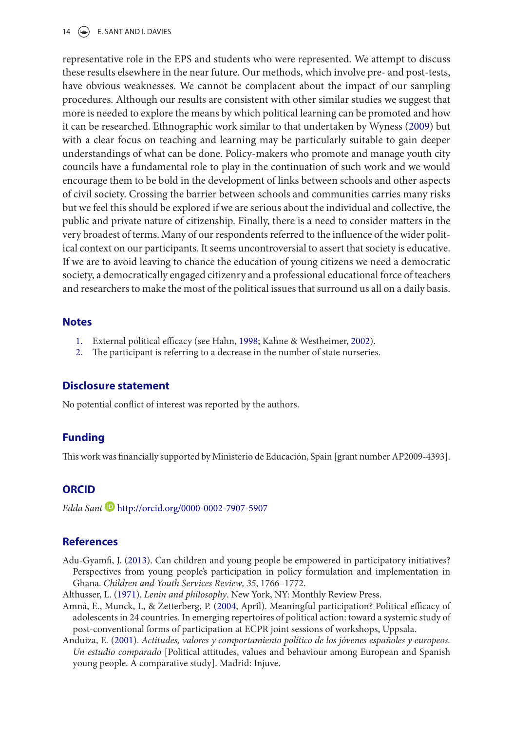14  $\left(\rightarrow\right)$  E. SANT AND I. DAVIES

representative role in the EPS and students who were represented. We attempt to discuss these results elsewhere in the near future. Our methods, which involve pre- and post-tests, have obvious weaknesses. We cannot be complacent about the impact of our sampling procedures. Although our results are consistent with other similar studies we suggest that more is needed to explore the means by which political learning can be promoted and how it can be researched. Ethnographic work similar to that undertaken by Wyness (2009) but with a clear focus on teaching and learning may be particularly suitable to gain deeper understandings of what can be done. Policy-makers who promote and manage youth city councils have a fundamental role to play in the continuation of such work and we would encourage them to be bold in the development of links between schools and other aspects of civil society. Crossing the barrier between schools and communities carries many risks but we feel this should be explored if we are serious about the individual and collective, the public and private nature of citizenship. Finally, there is a need to consider matters in the very broadest of terms. Many of our respondents referred to the influence of the wider political context on our participants. It seems uncontroversial to assert that society is educative. If we are to avoid leaving to chance the education of young citizens we need a democratic society, a democratically engaged citizenry and a professional educational force of teachers and researchers to make the most of the political issues that surround us all on a daily basis.

#### **Notes**

- 1. External political efficacy (see Hahn, 1998; Kahne & Westheimer, 2002).
- 2. The participant is referring to a decrease in the number of state nurseries.

#### **Disclosure statement**

No potential conflict of interest was reported by the authors.

#### **Funding**

This work was financially supported by Ministerio de Educación, Spain [grant number AP2009-4393].

#### **ORCID**

Edda Sant http://orcid.org/0000-0002-7907-5907

#### **References**

- Adu-Gyamfi, J. (2013). Can children and young people be empowered in participatory initiatives? Perspectives from young people's participation in policy formulation and implementation in Ghana. Children and Youth Services Review, 35, 1766–1772.
- Althusser, L. (1971). Lenin and philosophy. New York, NY: Monthly Review Press.
- Amnå, E., Munck, I., & Zetterberg, P. (2004, April). Meaningful participation? Political efficacy of adolescents in 24 countries. In emerging repertoires of political action: toward a systemic study of post-conventional forms of participation at ECPR joint sessions of workshops, Uppsala.
- Anduiza, E. (2001). Actitudes, valores y comportamiento político de los jóvenes españoles y europeos. Un estudio comparado [Political attitudes, values and behaviour among European and Spanish young people. A comparative study]. Madrid: Injuve.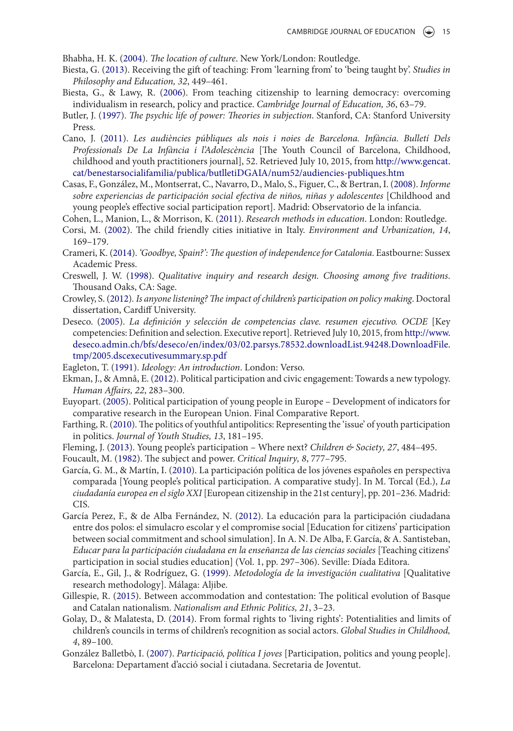Bhabha, H. K. (2004). The location of culture. New York/London: Routledge.

- Biesta, G. (2013). Receiving the gift of teaching: From 'learning from' to 'being taught by'. *Studies in* Philosophy and Education, 32, 449–461.
- Biesta, G., & Lawy, R. (2006). From teaching citizenship to learning democracy: overcoming individualism in research, policy and practice. Cambridge Journal of Education, 36, 63–79.
- Butler, J. (1997). The psychic life of power: Theories in subjection. Stanford, CA: Stanford University Press.
- Cano, J. (2011). Les audiències públiques als nois i noies de Barcelona. Infància. Bulletí Dels Professionals De La Infància i l'Adolescència [The Youth Council of Barcelona, Childhood, childhood and youth practitioners journal], 52. Retrieved July 10, 2015, from http://www.gencat. cat/benestarsocialifamilia/publica/butlletiDGAIA/num52/audiencies-publiques.htm
- Casas, F., González, M., Montserrat, C., Navarro, D., Malo, S., Figuer, C., & Bertran, I. (2008). Informe sobre experiencias de participación social efectiva de niños, niñas y adolescentes [Childhood and young people's effective social participation report]. Madrid: Observatorio de la infancia.
- Cohen, L., Manion, L., & Morrison, K. (2011). Research methods in education. London: Routledge.
- Corsi, M. (2002). The child friendly cities initiative in Italy. Environment and Urbanization, 14, 169–179.
- Crameri, K. (2014). 'Goodbye, Spain?': The question of independence for Catalonia. Eastbourne: Sussex Academic Press.
- Creswell, J. W. (1998). Qualitative inquiry and research design. Choosing among five traditions. Thousand Oaks, CA: Sage.
- Crowley, S. (2012). Is anyone listening? The impact of children's participation on policy making. Doctoral dissertation, Cardiff University.
- Deseco. (2005). La definición y selección de competencias clave. resumen ejecutivo. OCDE [Key competencies: Definition and selection. Executive report]. Retrieved July 10, 2015, from http://www. deseco.admin.ch/bfs/deseco/en/index/03/02.parsys.78532.downloadList.94248.DownloadFile. tmp/2005.dscexecutivesummary.sp.pdf
- Eagleton, T. (1991). Ideology: An introduction. London: Verso.
- Ekman, J., & Amnå, E. (2012). Political participation and civic engagement: Towards a new typology. Human Affairs, 22, 283–300.
- Euyopart. (2005). Political participation of young people in Europe Development of indicators for comparative research in the European Union. Final Comparative Report.
- Farthing, R. (2010). The politics of youthful antipolitics: Representing the 'issue' of youth participation in politics. Journal of Youth Studies, 13, 181–195.
- Fleming, J. (2013). Young people's participation Where next? Children & Society, 27, 484–495.

Foucault, M. (1982). The subject and power. Critical Inquiry, 8, 777–795.

- García, G. M., & Martín, I. (2010). La participación política de los jóvenes españoles en perspectiva comparada [Young people's political participation. A comparative study]. In M. Torcal (Ed.),  $La$ ciudadanía europea en el siglo XXI [European citizenship in the 21st century], pp. 201–236. Madrid: CIS.
- García Perez, F., & de Alba Fernández, N. (2012). La educación para la participación ciudadana entre dos polos: el simulacro escolar y el compromise social [Education for citizens' participation between social commitment and school simulation]. In A. N. De Alba, F. García, & A. Santisteban, Educar para la participación ciudadana en la enseñanza de las ciencias sociales [Teaching citizens' participation in social studies education] (Vol. 1, pp. 297–306). Seville: Díada Editora.
- García, E., Gil, J., & Rodríguez, G. (1999). Metodología de la investigación cualitativa [Qualitative research methodology]. Málaga: Aljibe.
- Gillespie, R. (2015). Between accommodation and contestation: The political evolution of Basque and Catalan nationalism. Nationalism and Ethnic Politics, 21, 3–23.
- Golay, D., & Malatesta, D. (2014). From formal rights to 'living rights': Potentialities and limits of children's councils in terms of children's recognition as social actors. Global Studies in Childhood, 4, 89–100.
- González Balletbò, I. (2007). Participació, política I joves [Participation, politics and young people]. Barcelona: Departament d'acció social i ciutadana. Secretaria de Joventut.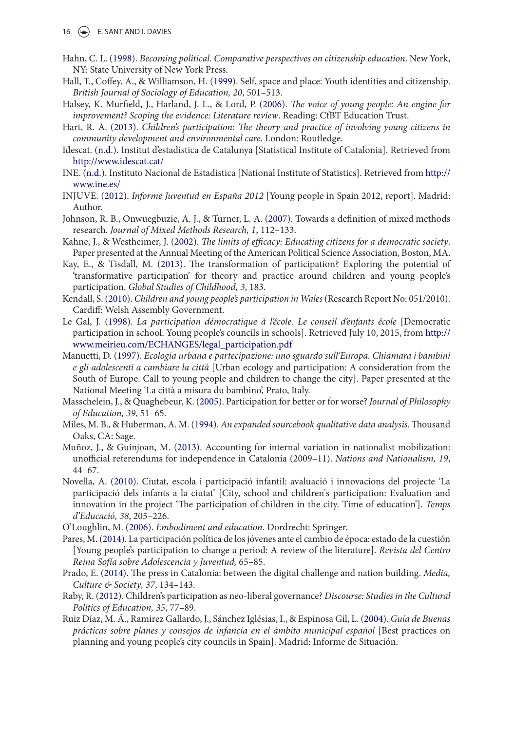- 16  $\left(\rightarrow\right)$  E. SANT AND I. DAVIES
- Hahn, C. L. (1998). Becoming political. Comparative perspectives on citizenship education. New York, NY: State University of New York Press.
- Hall, T., Coffey, A., & Williamson, H. (1999). Self, space and place: Youth identities and citizenship. British Journal of Sociology of Education, 20, 501–513.
- Halsey, K. Murfield, J., Harland, J. L., & Lord, P. (2006). The voice of young people: An engine for improvement? Scoping the evidence: Literature review. Reading: CfBT Education Trust.
- Hart, R. A. (2013). Children's participation: The theory and practice of involving young citizens in community development and environmental care. London: Routledge.
- Idescat. (n.d.). Institut d'estadistica de Catalunya [Statistical Institute of Catalonia]. Retrieved from http://www.idescat.cat/
- INE. (n.d.). Instituto Nacional de Estadistica [National Institute of Statistics]. Retrieved from http:// www.ine.es/
- INJUVE. (2012). Informe Juventud en España 2012 [Young people in Spain 2012, report]. Madrid: Author.
- Johnson, R. B., Onwuegbuzie, A. J., & Turner, L. A. (2007). Towards a definition of mixed methods research. Journal of Mixed Methods Research, 1, 112–133.
- Kahne, J., & Westheimer, J. (2002). The limits of efficacy: Educating citizens for a democratic society. Paper presented at the Annual Meeting of the American Political Science Association, Boston, MA.
- Kay, E., & Tisdall, M. (2013). The transformation of participation? Exploring the potential of 'transformative participation' for theory and practice around children and young people's participation. Global Studies of Childhood, 3, 183.
- Kendall, S. (2010). Children and young people's participation in Wales (Research Report No: 051/2010). Cardiff: Welsh Assembly Government.
- Le Gal, J. (1998). La participation démocratique à l'école. Le conseil d'enfants école [Democratic participation in school. Young people's councils in schools]. Retrieved July 10, 2015, from http:// www.meirieu.com/ECHANGES/legal\_participation.pdf
- Manuetti, D. (1997). Ecologia urbana e partecipazione: uno sguardo sull'Europa. Chiamara i bambini e gli adolescenti a cambiare la città [Urban ecology and participation: A consideration from the South of Europe. Call to young people and children to change the city]. Paper presented at the National Meeting 'La città a misura du bambino', Prato, Italy.
- Masschelein, J., & Quaghebeur, K. (2005). Participation for better or for worse? Journal of Philosophy of Education, 39, 51–65.
- Miles, M. B., & Huberman, A. M. (1994). An expanded sourcebook qualitative data analysis. Thousand Oaks, CA: Sage.
- Muñoz, J., & Guinjoan, M. (2013). Accounting for internal variation in nationalist mobilization: unofficial referendums for independence in Catalonia (2009–11). Nations and Nationalism, 19, 44–67.
- Novella, A. (2010). Ciutat, escola i participació infantil: avaluació i innovacions del projecte 'La participació dels infants a la ciutat' [City, school and children's participation: Evaluation and innovation in the project 'The participation of children in the city. Time of education']. Temps d'Educació, 38, 205–226.
- O'Loughlin, M. (2006). Embodiment and education. Dordrecht: Springer.
- Pares, M. (2014). La participación política de los jóvenes ante el cambio de época: estado de la cuestión [Young people's participation to change a period: A review of the literature]. Revista del Centro Reina Sofía sobre Adolescencia y Juventud, 65–85.
- Prado, E. (2014). The press in Catalonia: between the digital challenge and nation building. Media, Culture & Society, 37, 134-143.
- Raby, R. (2012). Children's participation as neo-liberal governance? Discourse: Studies in the Cultural Politics of Education, 35, 77–89.
- Ruiz Díaz, M. Á., Ramirez Gallardo, J., Sánchez Iglésias, I., & Espinosa Gil, L. (2004). Guía de Buenas prácticas sobre planes y consejos de infancia en el ámbito municipal español [Best practices on planning and young people's city councils in Spain]. Madrid: Informe de Situación.